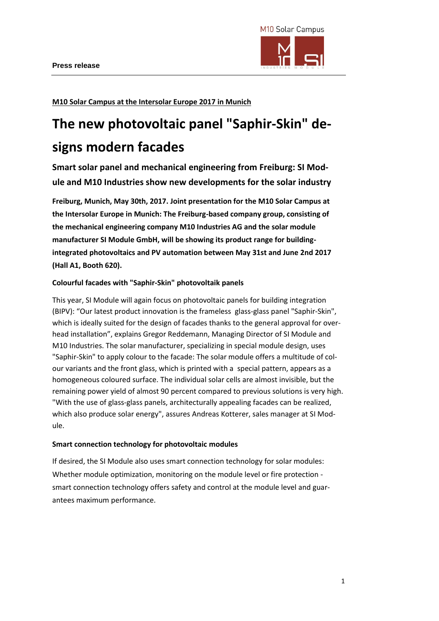

**M10 Solar Campus at the Intersolar Europe 2017 in Munich**

# **The new photovoltaic panel "Saphir-Skin" designs modern facades**

**Smart solar panel and mechanical engineering from Freiburg: SI Module and M10 Industries show new developments for the solar industry**

**Freiburg, Munich, May 30th, 2017. Joint presentation for the M10 Solar Campus at the Intersolar Europe in Munich: The Freiburg-based company group, consisting of the mechanical engineering company M10 Industries AG and the solar module manufacturer SI Module GmbH, will be showing its product range for buildingintegrated photovoltaics and PV automation between May 31st and June 2nd 2017 (Hall A1, Booth 620).**

# **Colourful facades with "Saphir-Skin" photovoltaik panels**

This year, SI Module will again focus on photovoltaic panels for building integration (BIPV): "Our latest product innovation is the frameless glass-glass panel "Saphir-Skin", which is ideally suited for the design of facades thanks to the general approval for overhead installation", explains Gregor Reddemann, Managing Director of SI Module and M10 Industries. The solar manufacturer, specializing in special module design, uses "Saphir-Skin" to apply colour to the facade: The solar module offers a multitude of colour variants and the front glass, which is printed with a special pattern, appears as a homogeneous coloured surface. The individual solar cells are almost invisible, but the remaining power yield of almost 90 percent compared to previous solutions is very high. "With the use of glass-glass panels, architecturally appealing facades can be realized, which also produce solar energy", assures Andreas Kotterer, sales manager at SI Module.

## **Smart connection technology for photovoltaic modules**

If desired, the SI Module also uses smart connection technology for solar modules: Whether module optimization, monitoring on the module level or fire protection smart connection technology offers safety and control at the module level and guarantees maximum performance.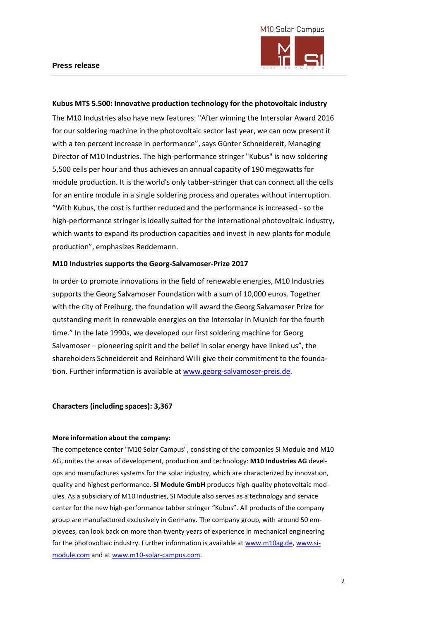



## **Kubus MTS 5.500: Innovative production technology for the photovoltaic industry**

The M10 Industries also have new features: "After winning the Intersolar Award 2016 for our soldering machine in the photovoltaic sector last year, we can now present it with a ten percent increase in performance", says Günter Schneidereit, Managing Director of M10 Industries. The high-performance stringer "Kubus" is now soldering 5,500 cells per hour and thus achieves an annual capacity of 190 megawatts for module production. It is the world's only tabber-stringer that can connect all the cells for an entire module in a single soldering process and operates without interruption. "With Kubus, the cost is further reduced and the performance is increased - so the high-performance stringer is ideally suited for the international photovoltaic industry, which wants to expand its production capacities and invest in new plants for module production", emphasizes Reddemann.

#### **M10 Industries supports the Georg-Salvamoser-Prize 2017**

In order to promote innovations in the field of renewable energies, M10 Industries supports the Georg Salvamoser Foundation with a sum of 10,000 euros. Together with the city of Freiburg, the foundation will award the Georg Salvamoser Prize for outstanding merit in renewable energies on the Intersolar in Munich for the fourth time." In the late 1990s, we developed our first soldering machine for Georg Salvamoser – pioneering spirit and the belief in solar energy have linked us", the shareholders Schneidereit and Reinhard Willi give their commitment to the foundation. Further information is available a[t www.georg-salvamoser-preis.de.](http://www.georg-salvamoser-preis.de/)

#### **Characters (including spaces): 3,367**

#### **More information about the company:**

The competence center "M10 Solar Campus", consisting of the companies SI Module and M10 AG, unites the areas of development, production and technology: **M10 Industries AG** develops and manufactures systems for the solar industry, which are characterized by innovation, quality and highest performance. **SI Module GmbH** produces high-quality photovoltaic modules. As a subsidiary of M10 Industries, SI Module also serves as a technology and service center for the new high-performance tabber stringer "Kubus". All products of the company group are manufactured exclusively in Germany. The company group, with around 50 employees, can look back on more than twenty years of experience in mechanical engineering for the photovoltaic industry. Further information is available a[t www.m10ag.de,](http://www.m10ag.de/) [www.si](http://www.si-module.com/)[module.com](http://www.si-module.com/) and at [www.m10-solar-campus.com.](http://www.m10-solar-campus.com/)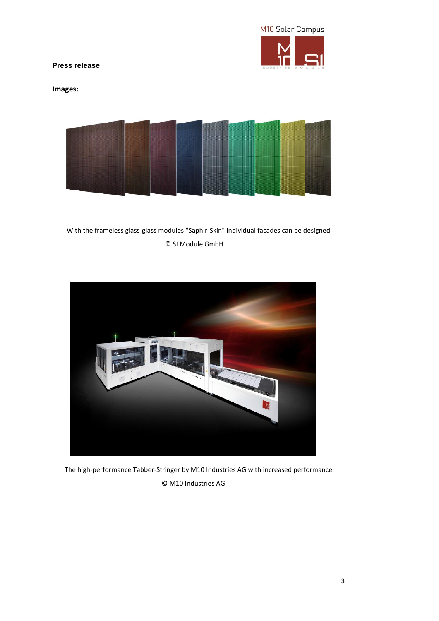

**Press release** 

# **Images:**



With the frameless glass-glass modules "Saphir-Skin" individual facades can be designed © SI Module GmbH



The high-performance Tabber-Stringer by M10 Industries AG with increased performance © M10 Industries AG